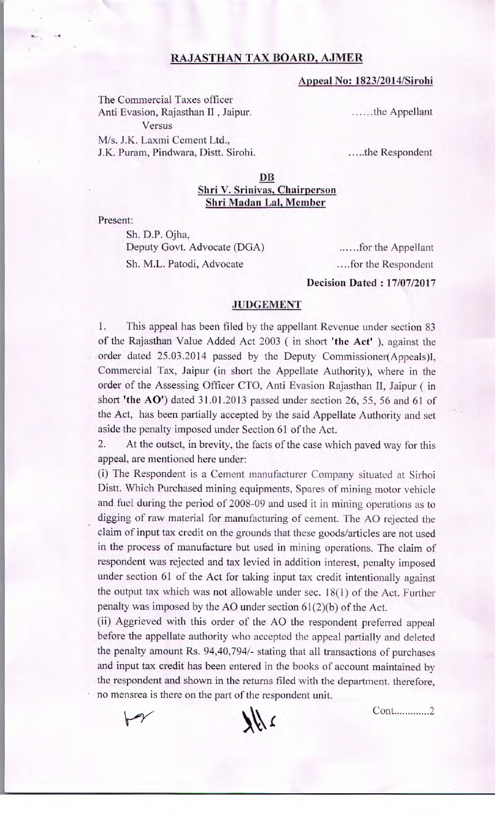## RAJASTHAN TAX BOARD, AJMER

## **Appeal No: 1823/2014/Sirohi**

The Commercial Taxes officer Anti Evasion, Rajasthan II, Jaipur. Versus M/s. J.K. Laxmi Cement Ltd., J.K. Puram, Pindwara, Distt. Sirohi.

......the Appellant

.....the Respondent

## **DB Shri V. Srinivas, Chairperson Shri Madan Lai, Member**

Present:

.- .

Sh. D.P. Ojha, Deputy Govt. Advocate (DGA) for the Appellant Sh. M.L. Patodi, Advocate .for the Respondent

**Decision Dated** : **17/07/2017** 

## **JUDGEMENT**

1. This appeal has been filed by the appellant Revenue under section 83 of the Rajasthan Value Added Act 2003 (in short **'the** Act' ), against the order dated 25.03.2014 passed by the Deputy Commissioner(Appeals)I, Commercial Tax, Jaipur (in short the Appellate Authority), where in the order of the Assessing Officer CTO, Anti Evasion Rajasthan Ii, Jaipur (in short **'the AO')** dated 31.01.2013 passed under section 26, *55,* 56 and 61 of the Act, has been partially accepted by the said Appellate Authority and set aside the penalty imposed under Section 61 of the Act.

2. At the outset, in brevity, the facts of the case which paved way for this appeal, are mentioned here under:

(i) The Respondent is a Cement manufacturer Company situated at Sirhoi Distt. Which Purchased mining equipments, Spares of mining motor vehicle and fuel during the period of 2008-09 and used it in mining operations as to digging of raw material for manufacturing of cement. The AO rejected the claim of input tax credit on the grounds that these goods/articles are not used in the process of manufacture but used in mining operations. The claim of respondent was rejected and tax levied in addition interest, penalty imposed under section 61 of the Act for taking input tax credit intentionally against the output tax which was not allowable under sec. 18(1) of the Act. Further penalty was imposed by the AO under section  $61(2)(b)$  of the Act.

(ii) Aggrieved with this order of the AO the respondent preferred appeal before the appellate authority who accepted the appeal partially and deleted the penalty amount Rs. 94,40,794/- stating that all transactions of purchases and input tax credit has been entered in the books of account maintained by the respondent and shown in the returns filed with the department. therefore, no mensrea is there on the part of the respondent unit.





Cont.............2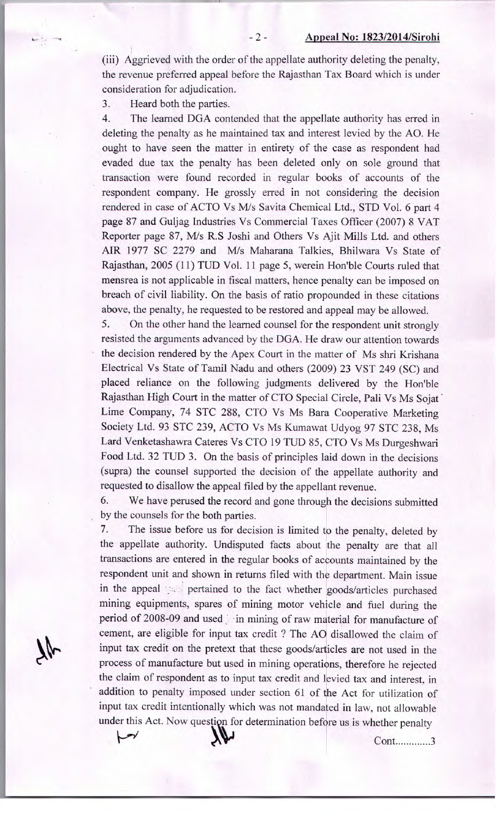(iii) Aggrieved with the order of the appellate authority deleting the penalty, the revenue preferred appeal before the Rajasthan Tax Board which is under consideration for adjudication.

3. Heard both the parties.

4. The learned DGA contended that the appellate authority has erred in deleting the penalty as he maintained tax and interest levied by the AO. He ought to have seen the matter in entirety of the case as respondent had evaded due tax the penalty has been deleted only on sole ground that transaction were found recorded in regular books of accounts of the respondent company. He grossly erred in not considering the decision rendered in case of ACTO Vs M/s Savita Chemical Ltd., STD Vol. 6 part 4 page 87 and Guijag Industries Vs Commercial Taxes Officer (2007) 8 VAT Reporter page 87, M/s R.S Joshi and Others Vs Ajit Mills Ltd. and others AIR 1977 SC 2279 and M/s Maharana Talkies, Bhilwara Vs State of Rajasthan, 2005 (11) TUD Vol. 11 page *5,* werein Hon'ble Courts ruled that mensrea is not applicable in fiscal matters, hence penalty can be imposed on breach of civil liability. On the basis of ratio propounded in these citations above, the penalty, he requested to be restored and appeal may be allowed.

5. On the other hand the learned counsel for the respondent unit strongly resisted the arguments advanced by the DGA. He draw our attention towards the decision rendered by the Apex Court in the matter of Ms shri Krishana Electrical Vs State of Tamil Nadu and others (2009) 23 VST 249 (SC) and placed reliance on the following judgments delivered by the Hon'ble Rajasthan High Court in the matter of CTO Special Circle, Pali Vs Ms Sojat Lime Company, 74 STC 288, CTO Vs Ms Bara Cooperative Marketing Society Ltd. 93 STC 239, ACTO Vs Ms Kumawat Udyog 97 STC 238, Ms Lard Venketashawra Cateres Vs CTO 19 TUD 85, CTO Vs Ms Durgeshwari Food Ltd. 32 TUD 3. On the basis of principles laid down in the decisions (supra) the counsel supported the decision of the appellate authority and requested to disallow the appeal filed by the appellant revenue.

6. We have perused the record and gone through the decisions submitted by the counsels for the both parties.

7. The issue before us for decision is limited to the penalty, deleted by the appellate authority. Undisputed facts about the penalty are that all transactions are entered in the regular books of accounts maintained by the respondent unit and shown in returns filed with the department. Main issue in the appeal pertained to the fact whether goods/articles purchased mining equipments, spares of mining motor vehicle and fuel during the period of 2008-09 and used . in mining of raw material for manufacture of cement, are eligible for input tax credit ? The AO disallowed the claim of input tax credit on the pretext that these goods/articles are not used in the process of manufacture but used in mining operations, therefore he rejected the claim of respondent as to input tax credit and levied tax and interest, in addition to penalty imposed under section 61 of the Act for utilization of input tax credit intentionally which was not mandated in law, not allowable under this Act. Now question for determination before us is whether penalty

7¢

ŀ

Cont.............3